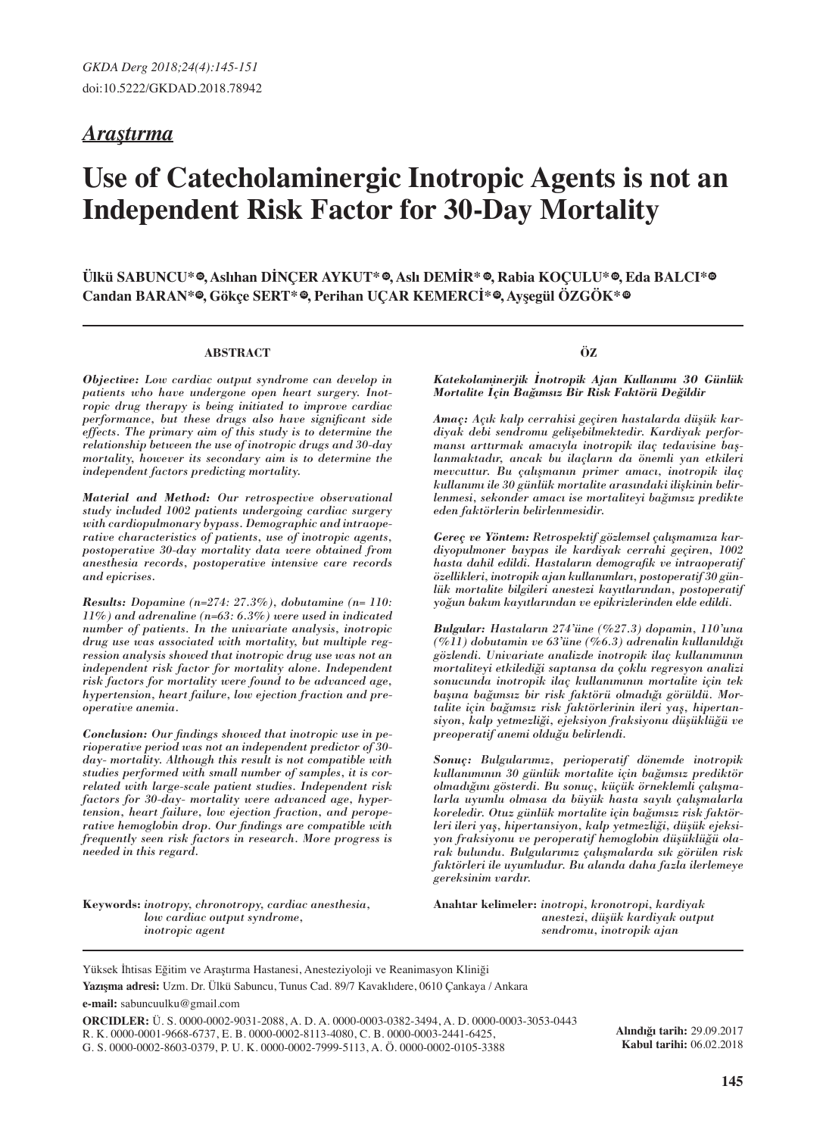# *Araştırma*

# **Use of Catecholaminergic Inotropic Agents is not an Independent Risk Factor for 30-Day Mortality**

 $\boldsymbol{\mathrm{U}}$ lkü SABUNCU\*®, Aslıhan DINÇER AYKUT\*®, Aslı DEMIR\*®, Rabia KOÇULU\*®, Eda BALCI\*®  $\bf C$ andan BARAN\*®, Gökçe SERT\*®, Perihan UÇAR KEMERCI\*®, Ayşegül OZGOK\*®

#### **ABSTRACT**

*Objective: Low cardiac output syndrome can develop in patients who have undergone open heart surgery. Inotropic drug therapy is being initiated to improve cardiac performance, but these drugs also have significant side effects. The primary aim of this study is to determine the relationship between the use of inotropic drugs and 30-day mortality, however its secondary aim is to determine the independent factors predicting mortality.*

*Material and Method: Our retrospective observational study included 1002 patients undergoing cardiac surgery with cardiopulmonary bypass. Demographic and intraoperative characteristics of patients, use of inotropic agents, postoperative 30-day mortality data were obtained from anesthesia records, postoperative intensive care records and epicrises.*

*Results: Dopamine (n=274: 27.3%), dobutamine (n= 110: 11%) and adrenaline (n=63: 6.3%) were used in indicated number of patients. In the univariate analysis, inotropic drug use was associated with mortality, but multiple regression analysis showed that inotropic drug use was not an independent risk factor for mortality alone. Independent risk factors for mortality were found to be advanced age, hypertension, heart failure, low ejection fraction and preoperative anemia.* 

*Conclusion: Our findings showed that inotropic use in perioperative period was not an independent predictor of 30 day- mortality. Although this result is not compatible with studies performed with small number of samples, it is correlated with large-scale patient studies. Independent risk factors for 30-day- mortality were advanced age, hypertension, heart failure, low ejection fraction, and peroperative hemoglobin drop. Our findings are compatible with frequently seen risk factors in research. More progress is needed in this regard.*

**Keywords:** *inotropy, chronotropy, cardiac anesthesia, low cardiac output syndrome, inotropic agent*

**ÖZ**

*Katekolaminerjik İnotropik Ajan Kullanımı 30 Günlük Mortalite İçin Bağımsız Bir Risk Faktörü Değildir*

*Amaç: Açık kalp cerrahisi geçiren hastalarda düşük kardiyak debi sendromu gelişebilmektedir. Kardiyak performansı arttırmak amacıyla inotropik ilaç tedavisine başlanmaktadır, ancak bu ilaçların da önemli yan etkileri mevcuttur. Bu çalışmanın primer amacı, inotropik ilaç kullanımı ile 30 günlük mortalite arasındaki ilişkinin belirlenmesi, sekonder amacı ise mortaliteyi bağımsız predikte eden faktörlerin belirlenmesidir.* 

*Gereç ve Yöntem: Retrospektif gözlemsel çalışmamıza kardiyopulmoner baypas ile kardiyak cerrahi geçiren, 1002 hasta dahil edildi. Hastaların demografik ve intraoperatif özellikleri, inotropik ajan kullanımları, postoperatif 30 günlük mortalite bilgileri anestezi kayıtlarından, postoperatif yoğun bakım kayıtlarından ve epikrizlerinden elde edildi.* 

*Bulgular: Hastaların 274'üne (%27.3) dopamin, 110'una (%11) dobutamin ve 63'üne (%6.3) adrenalin kullanıldığı gözlendi. Univariate analizde inotropik ilaç kullanımının mortaliteyi etkilediği saptansa da çoklu regresyon analizi sonucunda inotropik ilaç kullanımının mortalite için tek başına bağımsız bir risk faktörü olmadığı görüldü. Mortalite için bağımsız risk faktörlerinin ileri yaş, hipertansiyon, kalp yetmezliği, ejeksiyon fraksiyonu düşüklüğü ve preoperatif anemi olduğu belirlendi.*

*Sonuç: Bulgularımız, perioperatif dönemde inotropik kullanımının 30 günlük mortalite için bağımsız prediktör olmadığını gösterdi. Bu sonuç, küçük örneklemli çalışmalarla uyumlu olmasa da büyük hasta sayılı çalışmalarla koreledir. Otuz günlük mortalite için bağımsız risk faktörleri ileri yaş, hipertansiyon, kalp yetmezliği, düşük ejeksiyon fraksiyonu ve peroperatif hemoglobin düşüklüğü olarak bulundu. Bulgularımız çalışmalarda sık görülen risk faktörleri ile uyumludur. Bu alanda daha fazla ilerlemeye gereksinim vardır.* 

**Anahtar kelimeler:** *inotropi, kronotropi, kardiyak anestezi, düşük kardiyak output sendromu, inotropik ajan*

Yüksek İhtisas Eğitim ve Araştırma Hastanesi, Anesteziyoloji ve Reanimasyon Kliniği

**Yazışma adresi:** Uzm. Dr. Ülkü Sabuncu, Tunus Cad. 89/7 Kavaklıdere, 0610 Çankaya / Ankara **e-mail:** sabuncuulku@gmail.com

**ORCIDLER:** Ü. S. 0000-0002-9031-2088, A. D. A. 0000-0003-0382-3494, A. D. 0000-0003-3053-0443 R. K. 0000-0001-9668-6737, E. B. 0000-0002-8113-4080, C. B. 0000-0003-2441-6425, G. S. 0000-0002-8603-0379, P. U. K. 0000-0002-7999-5113, A. Ö. 0000-0002-0105-3388

**Alındığı tarih:** 29.09.2017 **Kabul tarihi:** 06.02.2018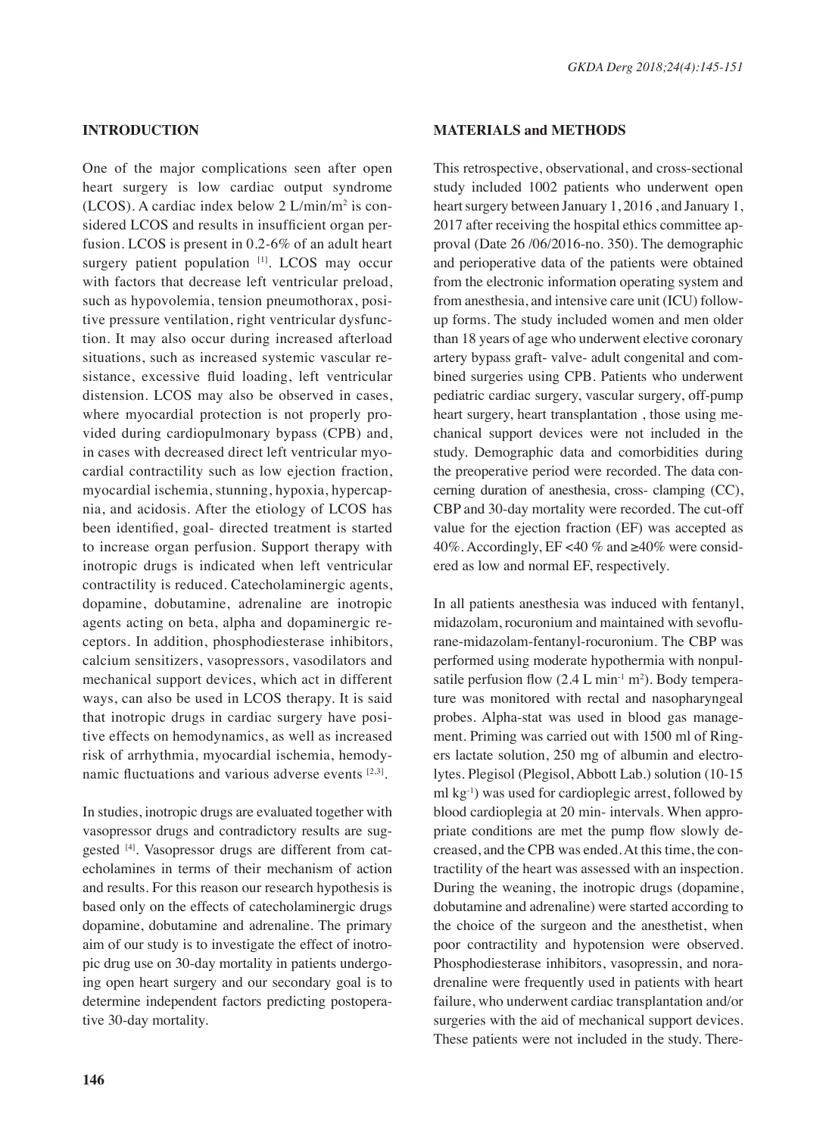# **IntroductIon**

One of the major complications seen after open heart surgery is low cardiac output syndrome  $(LCOS)$ . A cardiac index below 2  $L/min/m^2$  is considered LCOS and results in insufficient organ perfusion. LCOS is present in 0.2-6% of an adult heart surgery patient population [1]. LCOS may occur with factors that decrease left ventricular preload, such as hypovolemia, tension pneumothorax, positive pressure ventilation, right ventricular dysfunction. It may also occur during increased afterload situations, such as increased systemic vascular resistance, excessive fluid loading, left ventricular distension. LCOS may also be observed in cases, where myocardial protection is not properly provided during cardiopulmonary bypass (CPB) and, in cases with decreased direct left ventricular myocardial contractility such as low ejection fraction, myocardial ischemia, stunning, hypoxia, hypercapnia, and acidosis. After the etiology of LCOS has been identified, goal- directed treatment is started to increase organ perfusion. Support therapy with inotropic drugs is indicated when left ventricular contractility is reduced. Catecholaminergic agents, dopamine, dobutamine, adrenaline are inotropic agents acting on beta, alpha and dopaminergic receptors. In addition, phosphodiesterase inhibitors, calcium sensitizers, vasopressors, vasodilators and mechanical support devices, which act in different ways, can also be used in LCOS therapy. It is said that inotropic drugs in cardiac surgery have positive effects on hemodynamics, as well as increased risk of arrhythmia, myocardial ischemia, hemodynamic fluctuations and various adverse events [2,3].

In studies, inotropic drugs are evaluated together with vasopressor drugs and contradictory results are suggested [4]. Vasopressor drugs are different from catecholamines in terms of their mechanism of action and results. For this reason our research hypothesis is based only on the effects of catecholaminergic drugs dopamine, dobutamine and adrenaline. The primary aim of our study is to investigate the effect of inotropic drug use on 30-day mortality in patients undergoing open heart surgery and our secondary goal is to determine independent factors predicting postoperative 30-day mortality.

# **MATERIALS and METHODS**

This retrospective, observational, and cross-sectional study included 1002 patients who underwent open heart surgery between January 1, 2016 , and January 1, 2017 after receiving the hospital ethics committee approval (Date 26 /06/2016-no. 350). The demographic and perioperative data of the patients were obtained from the electronic information operating system and from anesthesia, and intensive care unit (ICU) followup forms. The study included women and men older than 18 years of age who underwent elective coronary artery bypass graft- valve- adult congenital and combined surgeries using CPB. Patients who underwent pediatric cardiac surgery, vascular surgery, off-pump heart surgery, heart transplantation , those using mechanical support devices were not included in the study. Demographic data and comorbidities during the preoperative period were recorded. The data concerning duration of anesthesia, cross- clamping (CC), CBP and 30-day mortality were recorded. The cut-off value for the ejection fraction (EF) was accepted as 40%. Accordingly, EF <40 % and  $\geq 40\%$  were considered as low and normal EF, respectively.

In all patients anesthesia was induced with fentanyl, midazolam, rocuronium and maintained with sevoflurane-midazolam-fentanyl-rocuronium. The CBP was performed using moderate hypothermia with nonpulsatile perfusion flow  $(2.4 \text{ L min}^{-1} \text{ m}^2)$ . Body temperature was monitored with rectal and nasopharyngeal probes. Alpha-stat was used in blood gas management. Priming was carried out with 1500 ml of Ringers lactate solution, 250 mg of albumin and electrolytes. Plegisol (Plegisol, Abbott Lab.) solution (10-15 ml  $kg^{-1}$ ) was used for cardioplegic arrest, followed by blood cardioplegia at 20 min- intervals. When appropriate conditions are met the pump flow slowly decreased, and the CPB was ended. At this time, the contractility of the heart was assessed with an inspection. During the weaning, the inotropic drugs (dopamine, dobutamine and adrenaline) were started according to the choice of the surgeon and the anesthetist, when poor contractility and hypotension were observed. Phosphodiesterase inhibitors, vasopressin, and noradrenaline were frequently used in patients with heart failure, who underwent cardiac transplantation and/or surgeries with the aid of mechanical support devices. These patients were not included in the study. There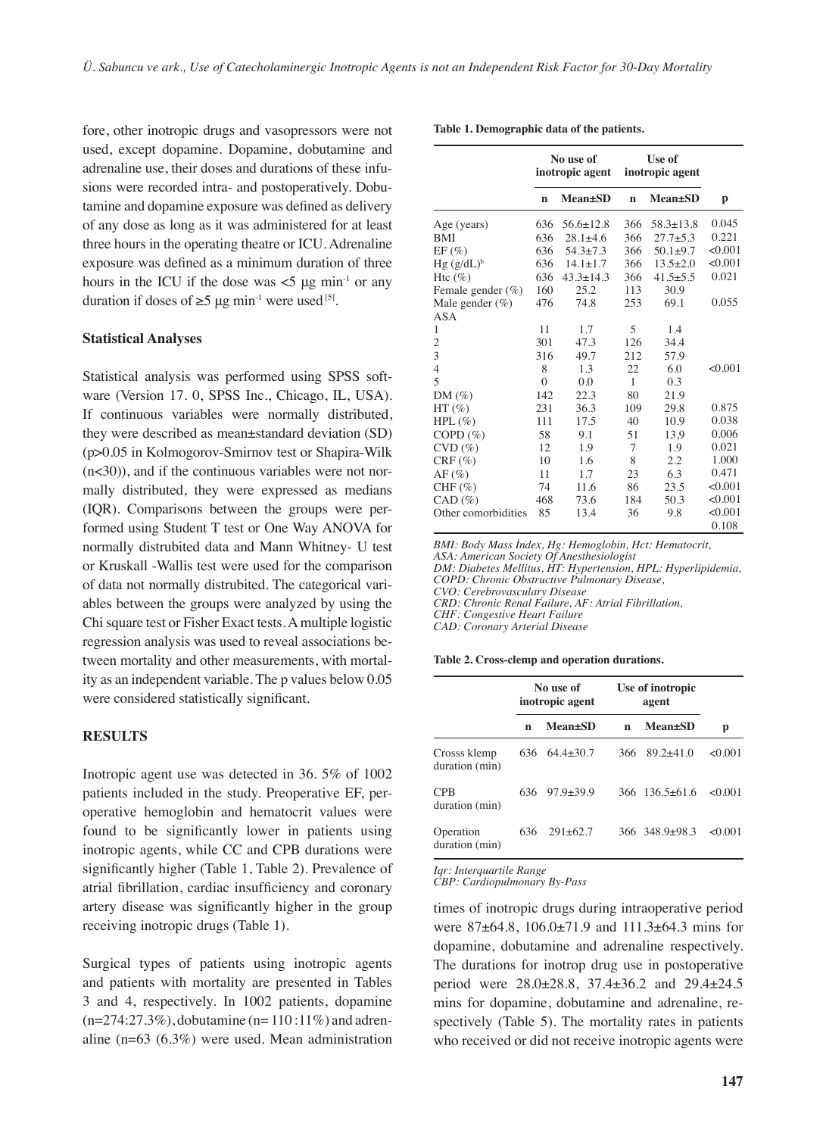fore, other inotropic drugs and vasopressors were not used, except dopamine. Dopamine, dobutamine and adrenaline use, their doses and durations of these infusions were recorded intra- and postoperatively. Dobutamine and dopamine exposure was defined as delivery of any dose as long as it was administered for at least three hours in the operating theatre or ICU. Adrenaline exposure was defined as a minimum duration of three hours in the ICU if the dose was  $<$ 5 μg min<sup>-1</sup> or any duration if doses of  $\geq 5$  µg min<sup>-1</sup> were used <sup>[5]</sup>.

#### **Statistical Analyses**

Statistical analysis was performed using SPSS software (Version 17. 0, SPSS Inc., Chicago, IL, USA). If continuous variables were normally distributed, they were described as mean±standard deviation (SD) (p>0.05 in Kolmogorov-Smirnov test or Shapira-Wilk  $(n<30)$ ), and if the continuous variables were not normally distributed, they were expressed as medians (IQR). Comparisons between the groups were performed using Student T test or One Way ANOVA for normally distrubited data and Mann Whitney- U test or Kruskall -Wallis test were used for the comparison of data not normally distrubited. The categorical variables between the groups were analyzed by using the Chi square test or Fisher Exact tests. A multiple logistic regression analysis was used to reveal associations between mortality and other measurements, with mortality as an independent variable. The p values below 0.05 were considered statistically significant.

## **RESULTS**

Inotropic agent use was detected in 36. 5% of 1002 patients included in the study. Preoperative EF, peroperative hemoglobin and hematocrit values were found to be significantly lower in patients using inotropic agents, while CC and CPB durations were significantly higher (Table 1, Table 2). Prevalence of atrial fibrillation, cardiac insufficiency and coronary artery disease was significantly higher in the group receiving inotropic drugs (Table 1).

Surgical types of patients using inotropic agents and patients with mortality are presented in Tables 3 and 4, respectively. In 1002 patients, dopamine  $(n=274:27.3\%)$ , dobutamine  $(n=110:11\%)$  and adrenaline (n=63 (6.3%) were used. Mean administration

| Table 1. Demographic data of the patients. |  |  |
|--------------------------------------------|--|--|
|--------------------------------------------|--|--|

|                          | No use of<br>inotropic agent |                 | Use of<br>inotropic agent |                 |         |
|--------------------------|------------------------------|-----------------|---------------------------|-----------------|---------|
|                          | n                            | <b>Mean</b> ±SD | $\mathbf n$               | <b>Mean±SD</b>  | p       |
| Age (years)              | 636                          | $56.6 \pm 12.8$ | 366                       | $58.3 \pm 13.8$ | 0.045   |
| <b>BMI</b>               | 636                          | $28.1 \pm 4.6$  | 366                       | $27.7 \pm 5.3$  | 0.221   |
| $EF(\%)$                 | 636                          | $54.3 \pm 7.3$  | 366                       | $50.1 \pm 9.7$  | < 0.001 |
| $Hg (g/dL)^b$            | 636                          | $14.1 \pm 1.7$  | 366                       | $13.5 + 2.0$    | < 0.001 |
| Htc $(\%)$               | 636                          | $43.3 \pm 14.3$ | 366                       | $41.5 \pm 5.5$  | 0.021   |
| Female gender $(\%)$     | 160                          | 25.2            | 113                       | 30.9            |         |
| Male gender $(\%)$       | 476                          | 74.8            | 253                       | 69.1            | 0.055   |
| ASA                      |                              |                 |                           |                 |         |
| $\mathbf{1}$             | 11                           | 1.7             | 5                         | 1.4             |         |
| $\overline{c}$           | 301                          | 47.3            | 126                       | 34.4            |         |
| $\overline{3}$           | 316                          | 49.7            | 212                       | 57.9            |         |
| $\overline{\mathcal{L}}$ | 8                            | 1.3             | 22                        | 6.0             | < 0.001 |
| 5                        | $\theta$                     | 0.0             | 1                         | 0.3             |         |
| $DM(\%)$                 | 142                          | 22.3            | 80                        | 21.9            |         |
| $HT(\%)$                 | 231                          | 36.3            | 109                       | 29.8            | 0.875   |
| $HPL(\%)$                | 111                          | 17.5            | 40                        | 10.9            | 0.038   |
| COPD $(\%)$              | 58                           | 9.1             | 51                        | 13,9            | 0.006   |
| $CVD$ $(\%)$             | 12                           | 1.9             | 7                         | 1.9             | 0.021   |
| $CRF(\%)$                | 10                           | 1.6             | 8                         | 2.2             | 1.000   |
| $AF(\%)$                 | 11                           | 1.7             | 23                        | 6.3             | 0.471   |
| $CHF(\%)$                | 74                           | 11.6            | 86                        | 23.5            | < 0.001 |
| $CAD (\%)$               | 468                          | 73.6            | 184                       | 50.3            | < 0.001 |
| Other comorbidities      | 85                           | 13.4            | 36                        | 9.8             | < 0.001 |
|                          |                              |                 |                           |                 | 0.108   |

*BMI: Body Mass İndex, Hg: Hemoglobin, Hct: Hematocrit,* 

*ASA: American Society Of Anesthesiologist* 

*DM: Diabetes Mellitus, HT: Hypertension, HPL: Hyperlipidemia, COPD: Chronic Obstructive Pulmonary Disease,* 

*CVO: Cerebrovasculary Disease*

*CRD: Chronic Renal Failure, AF: Atrial Fibrillation,* 

*CHF: Congestive Heart Failure*

*CAD: Coronary Arterial Disease*

**Table 2. Cross-clemp and operation durations.**

|                                |      | No use of<br>inotropic agent |     | Use of inotropic<br>agent |         |  |
|--------------------------------|------|------------------------------|-----|---------------------------|---------|--|
|                                | n    | <b>Mean</b> ±SD              | n   | <b>Mean</b> ±SD           | p       |  |
| Crosss klemp<br>duration (min) | 636  | $64.4 + 30.7$                | 366 | $89.2 + 41.0$             | < 0.001 |  |
| <b>CPB</b><br>duration (min)   | 636. | $97.9 + 39.9$                |     | $366$ $136.5 + 61.6$      | < 0.001 |  |
| Operation<br>duration (min)    | 636  | $291 \pm 62.7$               |     | 366 348.9+98.3            | < 0.001 |  |

*Iqr: Interquartile Range* 

*CBP: Cardiopulmonary By-Pass*

times of inotropic drugs during intraoperative period were 87±64.8, 106.0±71.9 and 111.3±64.3 mins for dopamine, dobutamine and adrenaline respectively. The durations for inotrop drug use in postoperative period were 28.0±28.8, 37.4±36.2 and 29.4±24.5 mins for dopamine, dobutamine and adrenaline, respectively (Table 5). The mortality rates in patients who received or did not receive inotropic agents were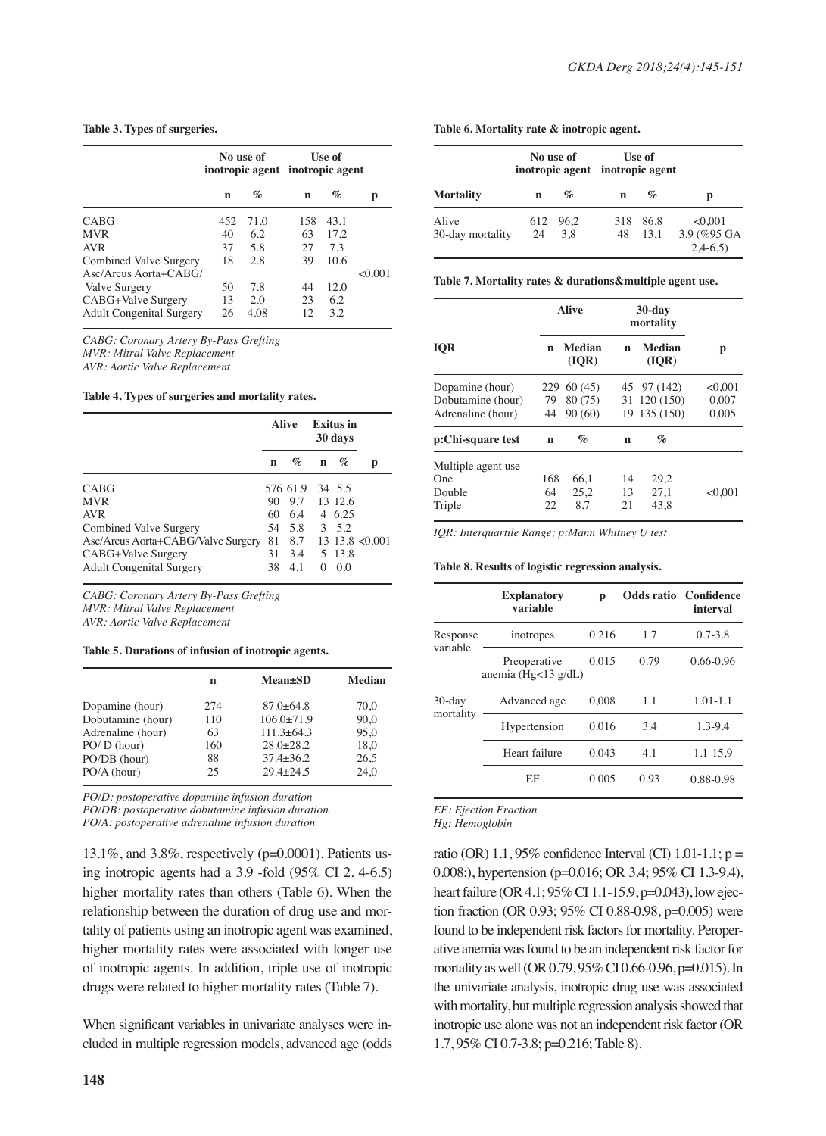#### **Table 3. Types of surgeries.**

|                                                                        | No use of<br>inotropic agent inotropic agent |                    | Use of         |                    |         |
|------------------------------------------------------------------------|----------------------------------------------|--------------------|----------------|--------------------|---------|
|                                                                        | n                                            | $\%$               | n              | $\%$               | p       |
| CABG                                                                   | 452                                          | 71.0               | 158            | 43.1               |         |
| <b>MVR</b>                                                             | 40                                           | 6.2                | 63             | 17.2.              |         |
| <b>AVR</b>                                                             | 37                                           | 5.8                | 27             | 73                 |         |
| Combined Valve Surgery<br>$Asc/Arcus Aorta+CABG/$                      | 18                                           | 2.8                | 39             | 10.6               | < 0.001 |
| Valve Surgery<br>CABG+Valve Surgery<br><b>Adult Congenital Surgery</b> | 50<br>13<br>26                               | 7.8<br>2.0<br>4.08 | 44<br>23<br>12 | 12.0<br>6.2<br>3.2 |         |

*CABG: Coronary Artery By-Pass Grefting MVR: Mitral Valve Replacement AVR: Aortic Valve Replacement*

**Table 4. Types of surgeries and mortality rates.**

|                                    | Alive |          | <b>Exitus</b> in<br>30 days |         |                     |  |
|------------------------------------|-------|----------|-----------------------------|---------|---------------------|--|
|                                    | n     | $\%$     | n                           | $\%$    | р                   |  |
| CABG                               |       | 576 61.9 |                             | 34 5.5  |                     |  |
| <b>MVR</b>                         | 90    | 9.7      |                             | 13 12.6 |                     |  |
| <b>AVR</b>                         |       | 60 6.4   |                             | 4 6.25  |                     |  |
| Combined Valve Surgery             | 54    | 5.8      |                             | 3, 5.2  |                     |  |
| Asc/Arcus Aorta+CABG/Valve Surgery | 81    | 8.7      |                             |         | $13.13.8 \le 0.001$ |  |
| CABG+Valve Surgery                 | 31    | 3.4      |                             | 5 13.8  |                     |  |
| <b>Adult Congenital Surgery</b>    | 38    | 4.1      | $\Omega$                    | 0.0     |                     |  |

*CABG: Coronary Artery By-Pass Grefting MVR: Mitral Valve Replacement AVR: Aortic Valve Replacement*

#### **Table 5. Durations of infusion of inotropic agents.**

|                   | n   | <b>Mean</b> ±SD | <b>Median</b> |
|-------------------|-----|-----------------|---------------|
| Dopamine (hour)   | 274 | $87.0 + 64.8$   | 70.0          |
| Dobutamine (hour) | 110 | $106.0+71.9$    | 90.0          |
| Adrenaline (hour) | 63  | $111.3 + 64.3$  | 95.0          |
| $PO/D$ (hour)     | 160 | $28.0 + 28.2$   | 18.0          |
| PO/DB (hour)      | 88  | $37.4 + 36.2$   | 26.5          |
| PO/A (hour)       | 25  | $29.4 + 24.5$   | 24.0          |

*PO/D: postoperative dopamine infusion duration PO/DB: postoperative dobutamine infusion duration PO/A: postoperative adrenaline infusion duration* 

13.1%, and 3.8%, respectively (p=0.0001). Patients using inotropic agents had a 3.9 -fold (95% CI 2. 4-6.5) higher mortality rates than others (Table 6). When the relationship between the duration of drug use and mortality of patients using an inotropic agent was examined, higher mortality rates were associated with longer use of inotropic agents. In addition, triple use of inotropic drugs were related to higher mortality rates (Table 7).

When significant variables in univariate analyses were included in multiple regression models, advanced age (odds

#### **Table 6. Mortality rate & inotropic agent.**

|                        | Use of<br>inotropic agent inotropic agent |     | No use of |    |                  |  |
|------------------------|-------------------------------------------|-----|-----------|----|------------------|--|
| р                      | $\%$                                      | n   | $\%$      | n  | <b>Mortality</b> |  |
| < 0.001<br>3,9 (%95 GA | - 86.8                                    | 318 | 612 96.2  |    | Alive            |  |
|                        | 13.1                                      | 48  | 3.8       | 24 | 30-day mortality |  |

#### **Table 7. Mortality rates & durations&multiple agent use.**

|                    | <b>Alive</b> |                 | $30$ -day<br>mortality |                        |         |
|--------------------|--------------|-----------------|------------------------|------------------------|---------|
| <b>IOR</b>         | n            | Median<br>(IOR) | n                      | <b>Median</b><br>(IOR) | р       |
| Dopamine (hour)    | 229          | 60(45)          |                        | 45 97 (142)            | < 0.001 |
| Dobutamine (hour)  | 79           | 80 (75)         |                        | 31 120 (150)           | 0.007   |
| Adrenaline (hour)  | 44           | 90(60)          |                        | 19 135 (150)           | 0,005   |
| p:Chi-square test  | n            | $\%$            | n                      | $\%$                   |         |
| Multiple agent use |              |                 |                        |                        |         |
| One                | 168          | 66.1            | 14                     | 29.2                   |         |
| Double             | 64           | 25.2            | 13                     | 27.1                   | < 0.001 |
| Triple             | 22           | 8.7             | 21                     | 43.8                   |         |

*IQR: Interquartile Range; p:Mann Whitney U test*

#### **Table 8. Results of logistic regression analysis.**

|                        | <b>Explanatory</b><br>variable      | p     |      | <b>Odds ratio</b> Confidence<br>interval |
|------------------------|-------------------------------------|-------|------|------------------------------------------|
| Response<br>variable   | inotropes                           | 0.216 | 1.7  | $0.7 - 3.8$                              |
|                        | Preoperative<br>anemia (Hg<13 g/dL) | 0.015 | 0.79 | $0.66 - 0.96$                            |
| $30$ -day<br>mortality | Advanced age                        | 0.008 | 1.1  | $1.01 - 1.1$                             |
|                        | Hypertension                        | 0.016 | 3.4  | $1.3 - 9.4$                              |
|                        | Heart failure                       | 0.043 | 4.1  | $1.1 - 15.9$                             |
|                        | EF                                  | 0.005 | 0.93 | 0.88-0.98                                |

*EF: Ejection Fraction*

*Hg: Hemoglobin*

ratio (OR)  $1.1$ , 95% confidence Interval (CI)  $1.01-1.1$ ; p = 0.008;), hypertension (p=0.016; OR 3.4; 95% CI 1.3-9.4), heart failure (OR 4.1; 95% CI 1.1-15.9, p=0.043), low ejection fraction (OR 0.93; 95% CI 0.88-0.98, p=0.005) were found to be independent risk factors for mortality. Peroperative anemia was found to be an independent risk factor for mortality as well (OR 0.79, 95% CI 0.66-0.96, p=0.015). In the univariate analysis, inotropic drug use was associated with mortality, but multiple regression analysis showed that inotropic use alone was not an independent risk factor (OR 1.7, 95% CI 0.7-3.8; p=0.216; Table 8).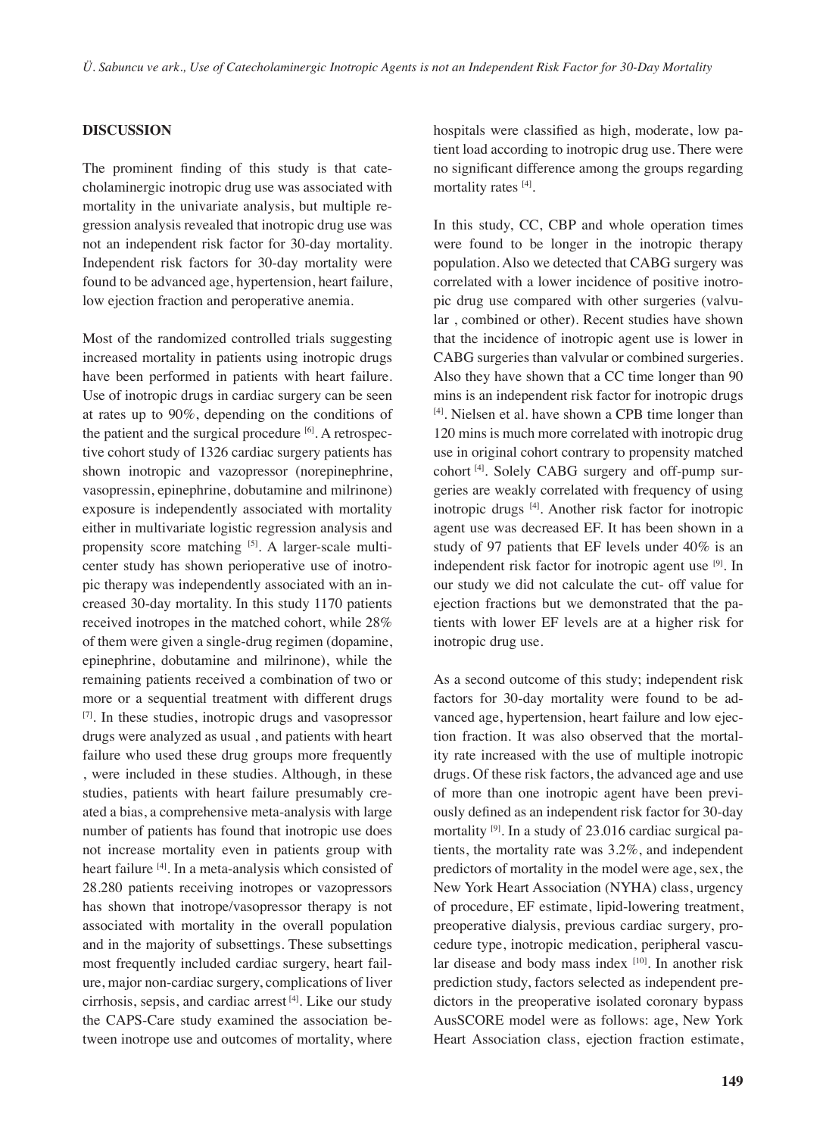# **DISCUSSION**

The prominent finding of this study is that catecholaminergic inotropic drug use was associated with mortality in the univariate analysis, but multiple regression analysis revealed that inotropic drug use was not an independent risk factor for 30-day mortality. Independent risk factors for 30-day mortality were found to be advanced age, hypertension, heart failure, low ejection fraction and peroperative anemia.

Most of the randomized controlled trials suggesting increased mortality in patients using inotropic drugs have been performed in patients with heart failure. Use of inotropic drugs in cardiac surgery can be seen at rates up to 90%, depending on the conditions of the patient and the surgical procedure  $[6]$ . A retrospective cohort study of 1326 cardiac surgery patients has shown inotropic and vazopressor (norepinephrine, vasopressin, epinephrine, dobutamine and milrinone) exposure is independently associated with mortality either in multivariate logistic regression analysis and propensity score matching [5]. A larger-scale multicenter study has shown perioperative use of inotropic therapy was independently associated with an increased 30-day mortality. In this study 1170 patients received inotropes in the matched cohort, while 28% of them were given a single-drug regimen (dopamine, epinephrine, dobutamine and milrinone), while the remaining patients received a combination of two or more or a sequential treatment with different drugs [7]. In these studies, inotropic drugs and vasopressor drugs were analyzed as usual , and patients with heart failure who used these drug groups more frequently , were included in these studies. Although, in these studies, patients with heart failure presumably created a bias, a comprehensive meta-analysis with large number of patients has found that inotropic use does not increase mortality even in patients group with heart failure [4]. In a meta-analysis which consisted of 28.280 patients receiving inotropes or vazopressors has shown that inotrope/vasopressor therapy is not associated with mortality in the overall population and in the majority of subsettings. These subsettings most frequently included cardiac surgery, heart failure, major non-cardiac surgery, complications of liver cirrhosis, sepsis, and cardiac arrest [4]. Like our study the CAPS-Care study examined the association between inotrope use and outcomes of mortality, where hospitals were classified as high, moderate, low patient load according to inotropic drug use. There were no significant difference among the groups regarding mortality rates [4].

In this study, CC, CBP and whole operation times were found to be longer in the inotropic therapy population. Also we detected that CABG surgery was correlated with a lower incidence of positive inotropic drug use compared with other surgeries (valvular , combined or other). Recent studies have shown that the incidence of inotropic agent use is lower in CABG surgeries than valvular or combined surgeries. Also they have shown that a CC time longer than 90 mins is an independent risk factor for inotropic drugs [4]. Nielsen et al. have shown a CPB time longer than 120 mins is much more correlated with inotropic drug use in original cohort contrary to propensity matched cohort [4]. Solely CABG surgery and off-pump surgeries are weakly correlated with frequency of using inotropic drugs [4]. Another risk factor for inotropic agent use was decreased EF. It has been shown in a study of 97 patients that EF levels under 40% is an independent risk factor for inotropic agent use  $[9]$ . In our study we did not calculate the cut- off value for ejection fractions but we demonstrated that the patients with lower EF levels are at a higher risk for inotropic drug use.

As a second outcome of this study; independent risk factors for 30-day mortality were found to be advanced age, hypertension, heart failure and low ejection fraction. It was also observed that the mortality rate increased with the use of multiple inotropic drugs. Of these risk factors, the advanced age and use of more than one inotropic agent have been previously defined as an independent risk factor for 30-day mortality  $[9]$ . In a study of 23.016 cardiac surgical patients, the mortality rate was 3.2%, and independent predictors of mortality in the model were age, sex, the New York Heart Association (NYHA) class, urgency of procedure, EF estimate, lipid-lowering treatment, preoperative dialysis, previous cardiac surgery, procedure type, inotropic medication, peripheral vascular disease and body mass index [10]. In another risk prediction study, factors selected as independent predictors in the preoperative isolated coronary bypass AusSCORE model were as follows: age, New York Heart Association class, ejection fraction estimate,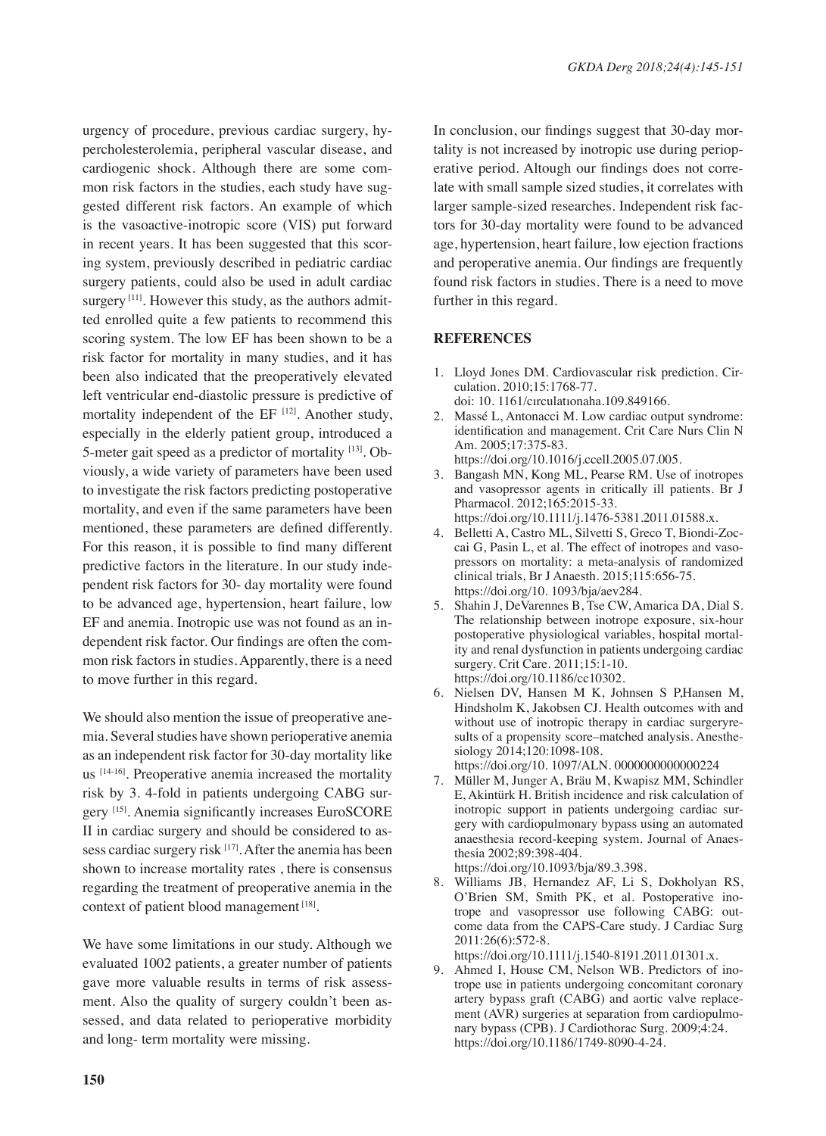urgency of procedure, previous cardiac surgery, hypercholesterolemia, peripheral vascular disease, and cardiogenic shock. Although there are some common risk factors in the studies, each study have suggested different risk factors. An example of which is the vasoactive-inotropic score (VIS) put forward in recent years. It has been suggested that this scoring system, previously described in pediatric cardiac surgery patients, could also be used in adult cardiac surgery  $[11]$ . However this study, as the authors admitted enrolled quite a few patients to recommend this scoring system. The low EF has been shown to be a risk factor for mortality in many studies, and it has been also indicated that the preoperatively elevated left ventricular end-diastolic pressure is predictive of mortality independent of the  $EF$   $[12]$ . Another study, especially in the elderly patient group, introduced a 5-meter gait speed as a predictor of mortality [13]. Obviously, a wide variety of parameters have been used to investigate the risk factors predicting postoperative mortality, and even if the same parameters have been mentioned, these parameters are defined differently. For this reason, it is possible to find many different predictive factors in the literature. In our study independent risk factors for 30- day mortality were found to be advanced age, hypertension, heart failure, low EF and anemia. Inotropic use was not found as an independent risk factor. Our findings are often the common risk factors in studies. Apparently, there is a need to move further in this regard.

We should also mention the issue of preoperative anemia. Several studies have shown perioperative anemia as an independent risk factor for 30-day mortality like us [14-16]. Preoperative anemia increased the mortality risk by 3. 4-fold in patients undergoing CABG surgery <a>[15]</a>. Anemia significantly increases EuroSCORE II in cardiac surgery and should be considered to assess cardiac surgery risk [17]. After the anemia has been shown to increase mortality rates , there is consensus regarding the treatment of preoperative anemia in the context of patient blood management<sup>[18]</sup>.

We have some limitations in our study. Although we evaluated 1002 patients, a greater number of patients gave more valuable results in terms of risk assessment. Also the quality of surgery couldn't been assessed, and data related to perioperative morbidity and long- term mortality were missing.

In conclusion, our findings suggest that 30-day mortality is not increased by inotropic use during perioperative period. Altough our findings does not correlate with small sample sized studies, it correlates with larger sample-sized researches. Independent risk factors for 30-day mortality were found to be advanced age, hypertension, heart failure, low ejection fractions and peroperative anemia. Our findings are frequently found risk factors in studies. There is a need to move further in this regard.

## **References**

- 1. Lloyd Jones DM. Cardiovascular risk prediction. Circulation. 2010;15:1768-77. doi: 10. 1161/cırculatıonaha.109.849166.
- 2. Massé L, Antonacci M. Low cardiac output syndrome: identification and management. Crit Care Nurs Clin N Am. 2005;17:375-83. https://doi.org/10.1016/j.ccell.2005.07.005.
- 3. Bangash MN, Kong ML, Pearse RM. Use of inotropes and vasopressor agents in critically ill patients. Br J Pharmacol. 2012;165:2015-33. https://doi.org/10.1111/j.1476-5381.2011.01588.x.
- 4. Belletti A, Castro ML, Silvetti S, Greco T, Biondi-Zoccai G, Pasin L, et al. The effect of inotropes and vasopressors on mortality: a meta-analysis of randomized clinical trials, Br J Anaesth. 2015;115:656-75. https://doi.org/10. 1093/bja/aev284.
- 5. Shahin J, DeVarennes B, Tse CW, Amarica DA, Dial S. The relationship between inotrope exposure, six-hour postoperative physiological variables, hospital mortality and renal dysfunction in patients undergoing cardiac surgery. Crit Care. 2011;15:1-10. https://doi.org/10.1186/cc10302.
- 6. Nielsen DV, Hansen M K, Johnsen S P,Hansen M, Hindsholm K, Jakobsen CJ. Health outcomes with and without use of inotropic therapy in cardiac surgeryresults of a propensity score–matched analysis. Anesthesiology 2014;120:1098-108.
- https://doi.org/10. 1097/ALN. 0000000000000224
- 7. Müller M, Junger A, Bräu M, Kwapisz MM, Schindler E, Akintürk H. British incidence and risk calculation of inotropic support in patients undergoing cardiac surgery with cardiopulmonary bypass using an automated anaesthesia record-keeping system. Journal of Anaesthesia 2002;89:398-404. https://doi.org/10.1093/bja/89.3.398.
- 8. Williams JB, Hernandez AF, Li S, Dokholyan RS, O'Brien SM, Smith PK, et al. Postoperative inotrope and vasopressor use following CABG: outcome data from the CAPS-Care study. J Cardiac Surg 2011:26(6):572-8.

https://doi.org/10.1111/j.1540-8191.2011.01301.x.

9. Ahmed I, House CM, Nelson WB. Predictors of inotrope use in patients undergoing concomitant coronary artery bypass graft (CABG) and aortic valve replacement (AVR) surgeries at separation from cardiopulmonary bypass (CPB). J Cardiothorac Surg. 2009;4:24. https://doi.org/10.1186/1749-8090-4-24.